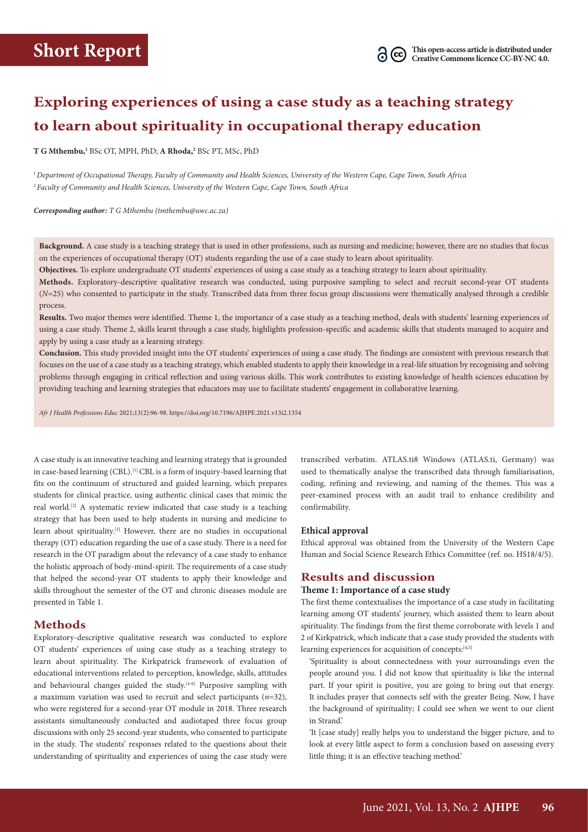## **Exploring experiences of using a case study as a teaching strategy to learn about spirituality in occupational therapy education**

**T G Mthembu,1** BSc OT, MPH, PhD; **A Rhoda,2** BSc PT, MSc, PhD

<sup>1</sup>*Department of Occupational Therapy, Faculty of Community and Health Sciences, University of the Western Cape, Cape Town, South Africa* <sup>2</sup>*Faculty of Community and Health Sciences, University of the Western Cape, Cape Town, South Africa* 

*Corresponding author: T G Mthembu ([tmthembu@uwc.ac.za](mailto:tmthembu@uwc.ac.za))*

**Background.** A case study is a teaching strategy that is used in other professions, such as nursing and medicine; however, there are no studies that focus on the experiences of occupational therapy (OT) students regarding the use of a case study to learn about spirituality.

**Objectives.** To explore undergraduate OT students' experiences of using a case study as a teaching strategy to learn about spirituality.

**Methods.** Exploratory-descriptive qualitative research was conducted, using purposive sampling to select and recruit second-year OT students (*N*=25) who consented to participate in the study. Transcribed data from three focus group discussions were thematically analysed through a credible process.

**Results.** Two major themes were identified. Theme 1, the importance of a case study as a teaching method, deals with students' learning experiences of using a case study. Theme 2, skills learnt through a case study, highlights profession-specific and academic skills that students managed to acquire and apply by using a case study as a learning strategy.

**Conclusion.** This study provided insight into the OT students' experiences of using a case study. The findings are consistent with previous research that focuses on the use of a case study as a teaching strategy, which enabled students to apply their knowledge in a real-life situation by recognising and solving problems through engaging in critical reflection and using various skills. This work contributes to existing knowledge of health sciences education by providing teaching and learning strategies that educators may use to facilitate students' engagement in collaborative learning.

*Afr J Health Professions Educ* 2021;13(2):96-98. <https://doi.org/10.7196/AJHPE.2021.v13i2.1354>

A case study is an innovative teaching and learning strategy that is grounded in case-based learning (CBL).<sup>[1]</sup> CBL is a form of inquiry-based learning that fits on the continuum of structured and guided learning, which prepares students for clinical practice, using authentic clinical cases that mimic the real world.[2] A systematic review indicated that case study is a teaching strategy that has been used to help students in nursing and medicine to learn about spirituality.<sup>[3]</sup> However, there are no studies in occupational therapy (OT) education regarding the use of a case study. There is a need for research in the OT paradigm about the relevancy of a case study to enhance the holistic approach of body-mind-spirit. The requirements of a case study that helped the second-year OT students to apply their knowledge and skills throughout the semester of the OT and chronic diseases module are presented in Table 1.

## **Methods**

Exploratory-descriptive qualitative research was conducted to explore OT students' experiences of using case study as a teaching strategy to learn about spirituality. The Kirkpatrick framework of evaluation of educational interventions related to perception, knowledge, skills, attitudes and behavioural changes guided the study.<sup>[4-6]</sup> Purposive sampling with a maximum variation was used to recruit and select participants  $(n=32)$ , who were registered for a second-year OT module in 2018. Three research assistants simultaneously conducted and audiotaped three focus group discussions with only 25 second-year students, who consented to participate in the study. The students' responses related to the questions about their understanding of spirituality and experiences of using the case study were

transcribed verbatim. ATLAS.ti8 Windows ([ATLAS.ti](http://ATLAS.ti), Germany) was used to thematically analyse the transcribed data through familiarisation, coding, refining and reviewing, and naming of the themes. This was a peer-examined process with an audit trail to enhance credibility and confirmability.

#### **Ethical approval**

Ethical approval was obtained from the University of the Western Cape Human and Social Science Research Ethics Committee (ref. no. HS18/4/5).

## **Results and discussion**

#### **Theme 1: Importance of a case study**

The first theme contextualises the importance of a case study in facilitating learning among OT students' journey, which assisted them to learn about spirituality. The findings from the first theme corroborate with levels 1 and 2 of Kirkpatrick, which indicate that a case study provided the students with learning experiences for acquisition of concepts: [4,5]

'Spirituality is about connectedness with your surroundings even the people around you. I did not know that spirituality is like the internal part. If your spirit is positive, you are going to bring out that energy. It includes prayer that connects self with the greater Being. Now, I have the background of spirituality; I could see when we went to our client in Strand.'

'It [case study] really helps you to understand the bigger picture, and to look at every little aspect to form a conclusion based on assessing every little thing; it is an effective teaching method.'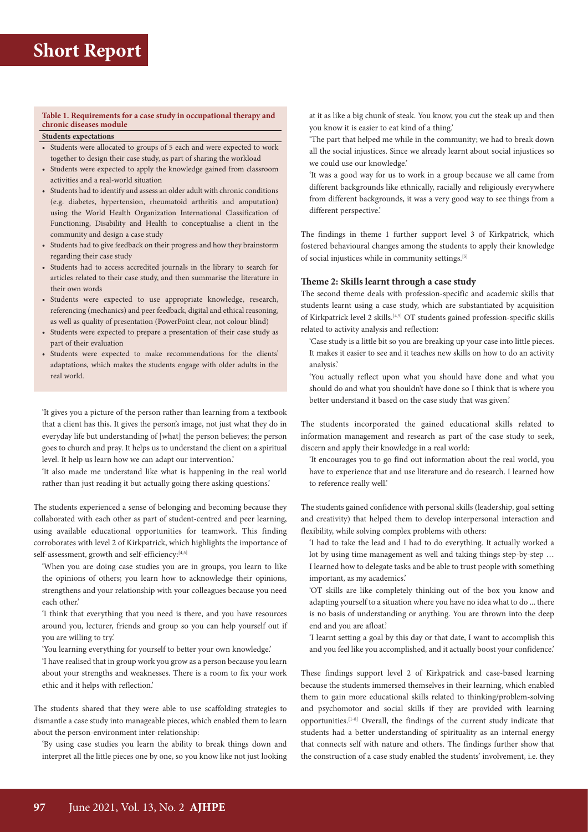### **Table 1. Requirements for a case study in occupational therapy and chronic diseases module**

## **Students expectations**

- Students were allocated to groups of 5 each and were expected to work together to design their case study, as part of sharing the workload
- Students were expected to apply the knowledge gained from classroom activities and a real-world situation
- Students had to identify and assess an older adult with chronic conditions (e.g. diabetes, hypertension, rheumatoid arthritis and amputation) using the World Health Organization International Classification of Functioning, Disability and Health to conceptualise a client in the community and design a case study
- Students had to give feedback on their progress and how they brainstorm regarding their case study
- Students had to access accredited journals in the library to search for articles related to their case study, and then summarise the literature in their own words
- Students were expected to use appropriate knowledge, research, referencing (mechanics) and peer feedback, digital and ethical reasoning, as well as quality of presentation (PowerPoint clear, not colour blind)
- Students were expected to prepare a presentation of their case study as part of their evaluation
- Students were expected to make recommendations for the clients' adaptations, which makes the students engage with older adults in the real world.

'It gives you a picture of the person rather than learning from a textbook that a client has this. It gives the person's image, not just what they do in everyday life but understanding of [what] the person believes; the person goes to church and pray. It helps us to understand the client on a spiritual level. It help us learn how we can adapt our intervention.'

'It also made me understand like what is happening in the real world rather than just reading it but actually going there asking questions.'

The students experienced a sense of belonging and becoming because they collaborated with each other as part of student-centred and peer learning, using available educational opportunities for teamwork. This finding corroborates with level 2 of Kirkpatrick, which highlights the importance of self-assessment, growth and self-efficiency:<sup>[4,5]</sup>

'When you are doing case studies you are in groups, you learn to like the opinions of others; you learn how to acknowledge their opinions, strengthens and your relationship with your colleagues because you need each other.'

'I think that everything that you need is there, and you have resources around you, lecturer, friends and group so you can help yourself out if you are willing to try.'

'You learning everything for yourself to better your own knowledge.'

'I have realised that in group work you grow as a person because you learn about your strengths and weaknesses. There is a room to fix your work ethic and it helps with reflection.'

The students shared that they were able to use scaffolding strategies to dismantle a case study into manageable pieces, which enabled them to learn about the person-environment inter-relationship:

'By using case studies you learn the ability to break things down and interpret all the little pieces one by one, so you know like not just looking at it as like a big chunk of steak. You know, you cut the steak up and then you know it is easier to eat kind of a thing.'

'The part that helped me while in the community; we had to break down all the social injustices. Since we already learnt about social injustices so we could use our knowledge.'

'It was a good way for us to work in a group because we all came from different backgrounds like ethnically, racially and religiously everywhere from different backgrounds, it was a very good way to see things from a different perspective.'

The findings in theme 1 further support level 3 of Kirkpatrick, which fostered behavioural changes among the students to apply their knowledge of social injustices while in community settings.[5]

#### **Theme 2: Skills learnt through a case study**

The second theme deals with profession-specific and academic skills that students learnt using a case study, which are substantiated by acquisition of Kirkpatrick level 2 skills.[4,5] OT students gained profession-specific skills related to activity analysis and reflection:

'Case study is a little bit so you are breaking up your case into little pieces. It makes it easier to see and it teaches new skills on how to do an activity analysis.'

'You actually reflect upon what you should have done and what you should do and what you shouldn't have done so I think that is where you better understand it based on the case study that was given.'

The students incorporated the gained educational skills related to information management and research as part of the case study to seek, discern and apply their knowledge in a real world:

'It encourages you to go find out information about the real world, you have to experience that and use literature and do research. I learned how to reference really well.'

The students gained confidence with personal skills (leadership, goal setting and creativity) that helped them to develop interpersonal interaction and flexibility, while solving complex problems with others:

'I had to take the lead and I had to do everything. It actually worked a lot by using time management as well and taking things step-by-step … I learned how to delegate tasks and be able to trust people with something important, as my academics.'

'OT skills are like completely thinking out of the box you know and adapting yourself to a situation where you have no idea what to do ... there is no basis of understanding or anything. You are thrown into the deep end and you are afloat.'

'I learnt setting a goal by this day or that date, I want to accomplish this and you feel like you accomplished, and it actually boost your confidence.'

These findings support level 2 of Kirkpatrick and case-based learning because the students immersed themselves in their learning, which enabled them to gain more educational skills related to thinking/problem-solving and psychomotor and social skills if they are provided with learning opportunities.[1-8] Overall, the findings of the current study indicate that students had a better understanding of spirituality as an internal energy that connects self with nature and others. The findings further show that the construction of a case study enabled the students' involvement, i.e. they